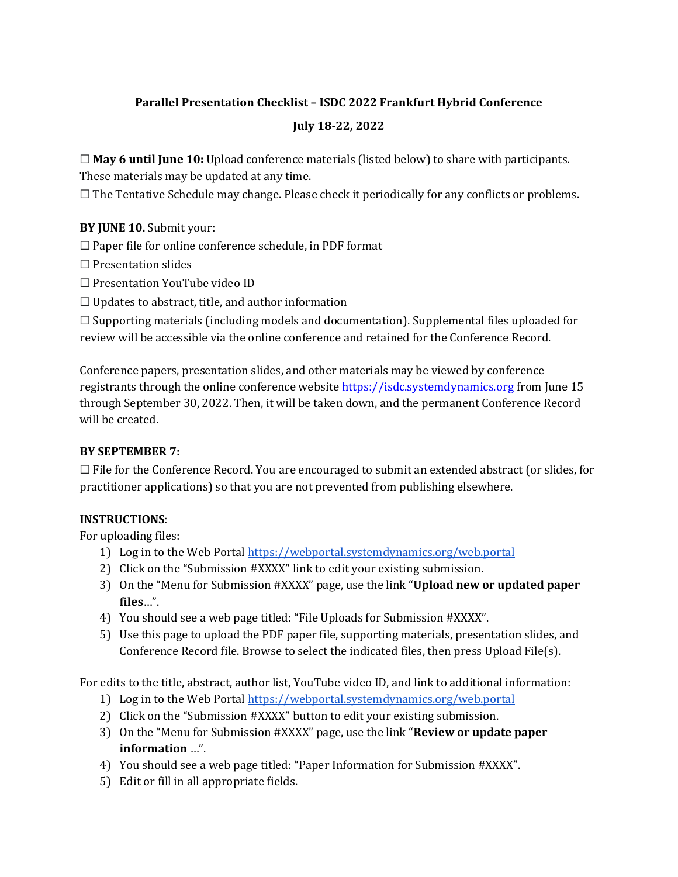## **Parallel Presentation Checklist – ISDC 2022 Frankfurt Hybrid Conference July 18-22, 2022**

☐ **May 6 until June 10:** Upload conference materials (listed below) to share with participants. These materials may be updated at any time.

☐ The Tentative Schedule may change. Please check it periodically for any conflicts or problems.

## **BY JUNE 10.** Submit your:

 $\Box$  Paper file for online conference schedule, in PDF format

- ☐ Presentation slides
- ☐ Presentation YouTube video ID
- $\Box$  Updates to abstract, title, and author information

 $\Box$  Supporting materials (including models and documentation). Supplemental files uploaded for review will be accessible via the online conference and retained for the Conference Record.

Conference papers, presentation slides, and other materials may be viewed by conference registrants through the online conference website [https://isdc.systemdynamics.org](https://isdc.systemdynamics.org/) from June 15 through September 30, 2022. Then, it will be taken down, and the permanent Conference Record will be created.

## **BY SEPTEMBER 7:**

 $\Box$  File for the Conference Record. You are encouraged to submit an extended abstract (or slides, for practitioner applications) so that you are not prevented from publishing elsewhere.

## **INSTRUCTIONS**:

For uploading files:

- 1) Log in to the Web Portal<https://webportal.systemdynamics.org/web.portal>
- 2) Click on the "Submission #XXXX" link to edit your existing submission.
- 3) On the "Menu for Submission #XXXX" page, use the link "**Upload new or updated paper files**…".
- 4) You should see a web page titled: "File Uploads for Submission #XXXX".
- 5) Use this page to upload the PDF paper file, supporting materials, presentation slides, and Conference Record file. Browse to select the indicated files, then press Upload File(s).

For edits to the title, abstract, author list, YouTube video ID, and link to additional information:

- 1) Log in to the Web Portal<https://webportal.systemdynamics.org/web.portal>
- 2) Click on the "Submission #XXXX" button to edit your existing submission.
- 3) On the "Menu for Submission #XXXX" page, use the link "**Review or update paper information** …".
- 4) You should see a web page titled: "Paper Information for Submission #XXXX".
- 5) Edit or fill in all appropriate fields.